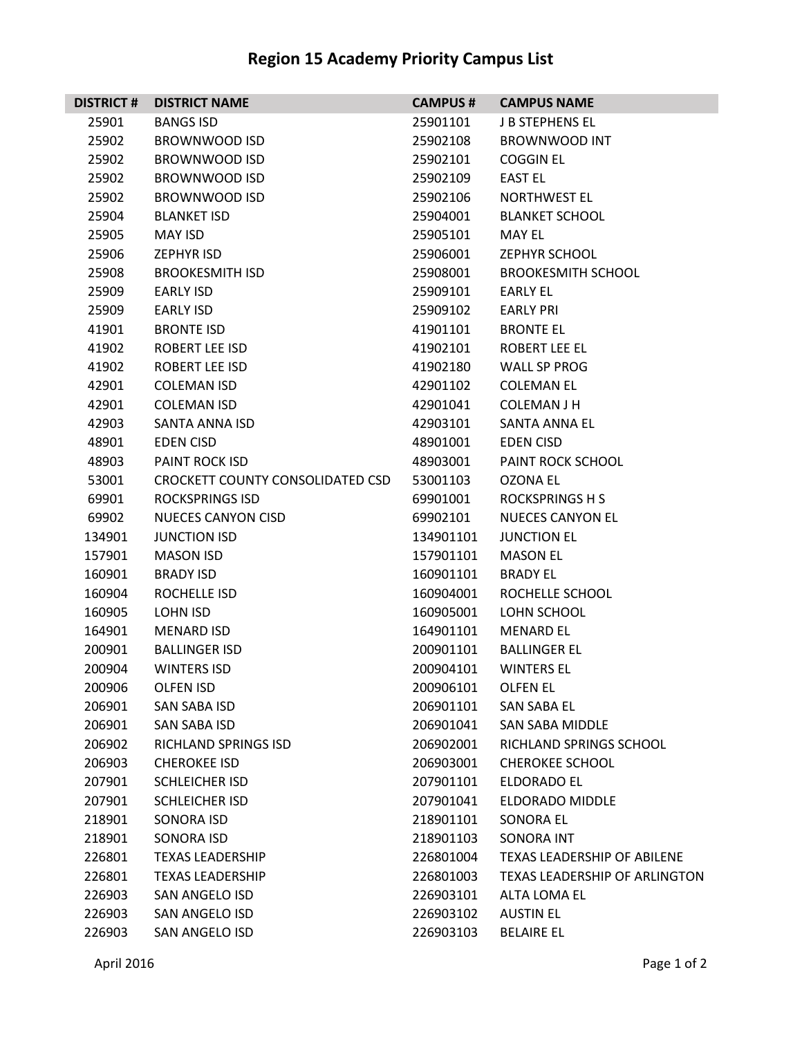## **Region 15 Academy Priority Campus List**

| <b>DISTRICT#</b> | <b>DISTRICT NAME</b>             | <b>CAMPUS#</b> | <b>CAMPUS NAME</b>                   |
|------------------|----------------------------------|----------------|--------------------------------------|
| 25901            | <b>BANGS ISD</b>                 | 25901101       | <b>J B STEPHENS EL</b>               |
| 25902            | BROWNWOOD ISD                    | 25902108       | <b>BROWNWOOD INT</b>                 |
| 25902            | <b>BROWNWOOD ISD</b>             | 25902101       | <b>COGGIN EL</b>                     |
| 25902            | <b>BROWNWOOD ISD</b>             | 25902109       | <b>EAST EL</b>                       |
| 25902            | <b>BROWNWOOD ISD</b>             | 25902106       | <b>NORTHWEST EL</b>                  |
| 25904            | <b>BLANKET ISD</b>               | 25904001       | <b>BLANKET SCHOOL</b>                |
| 25905            | <b>MAY ISD</b>                   | 25905101       | MAY EL                               |
| 25906            | <b>ZEPHYR ISD</b>                | 25906001       | <b>ZEPHYR SCHOOL</b>                 |
| 25908            | <b>BROOKESMITH ISD</b>           | 25908001       | <b>BROOKESMITH SCHOOL</b>            |
| 25909            | <b>EARLY ISD</b>                 | 25909101       | <b>EARLY EL</b>                      |
| 25909            | <b>EARLY ISD</b>                 | 25909102       | <b>EARLY PRI</b>                     |
| 41901            | <b>BRONTE ISD</b>                | 41901101       | <b>BRONTE EL</b>                     |
| 41902            | ROBERT LEE ISD                   | 41902101       | <b>ROBERT LEE EL</b>                 |
| 41902            | ROBERT LEE ISD                   | 41902180       | WALL SP PROG                         |
| 42901            | <b>COLEMAN ISD</b>               | 42901102       | <b>COLEMAN EL</b>                    |
| 42901            | <b>COLEMAN ISD</b>               | 42901041       | <b>COLEMAN J H</b>                   |
| 42903            | SANTA ANNA ISD                   | 42903101       | <b>SANTA ANNA EL</b>                 |
| 48901            | <b>EDEN CISD</b>                 | 48901001       | <b>EDEN CISD</b>                     |
| 48903            | <b>PAINT ROCK ISD</b>            | 48903001       | PAINT ROCK SCHOOL                    |
| 53001            | CROCKETT COUNTY CONSOLIDATED CSD | 53001103       | OZONA EL                             |
| 69901            | <b>ROCKSPRINGS ISD</b>           | 69901001       | <b>ROCKSPRINGS H S</b>               |
| 69902            | <b>NUECES CANYON CISD</b>        | 69902101       | <b>NUECES CANYON EL</b>              |
| 134901           | <b>JUNCTION ISD</b>              | 134901101      | <b>JUNCTION EL</b>                   |
| 157901           | <b>MASON ISD</b>                 | 157901101      | <b>MASON EL</b>                      |
| 160901           | <b>BRADY ISD</b>                 | 160901101      | <b>BRADY EL</b>                      |
| 160904           | ROCHELLE ISD                     | 160904001      | ROCHELLE SCHOOL                      |
| 160905           | LOHN ISD                         | 160905001      | LOHN SCHOOL                          |
| 164901           | <b>MENARD ISD</b>                | 164901101      | <b>MENARD EL</b>                     |
| 200901           | <b>BALLINGER ISD</b>             | 200901101      | <b>BALLINGER EL</b>                  |
| 200904           | <b>WINTERS ISD</b>               | 200904101      | <b>WINTERS EL</b>                    |
| 200906           | <b>OLFEN ISD</b>                 | 200906101      | <b>OLFEN EL</b>                      |
| 206901           | SAN SABA ISD                     | 206901101      | SAN SABA EL                          |
| 206901           | SAN SABA ISD                     | 206901041      | SAN SABA MIDDLE                      |
| 206902           | RICHLAND SPRINGS ISD             | 206902001      | RICHLAND SPRINGS SCHOOL              |
| 206903           | <b>CHEROKEE ISD</b>              | 206903001      | <b>CHEROKEE SCHOOL</b>               |
| 207901           | <b>SCHLEICHER ISD</b>            | 207901101      | ELDORADO EL                          |
| 207901           | <b>SCHLEICHER ISD</b>            | 207901041      | ELDORADO MIDDLE                      |
| 218901           | SONORA ISD                       | 218901101      | <b>SONORA EL</b>                     |
| 218901           | <b>SONORA ISD</b>                | 218901103      | <b>SONORA INT</b>                    |
| 226801           | <b>TEXAS LEADERSHIP</b>          | 226801004      | <b>TEXAS LEADERSHIP OF ABILENE</b>   |
| 226801           | <b>TEXAS LEADERSHIP</b>          | 226801003      | <b>TEXAS LEADERSHIP OF ARLINGTON</b> |
| 226903           | SAN ANGELO ISD                   | 226903101      | ALTA LOMA EL                         |
| 226903           | SAN ANGELO ISD                   | 226903102      | <b>AUSTIN EL</b>                     |
| 226903           | SAN ANGELO ISD                   | 226903103      | <b>BELAIRE EL</b>                    |